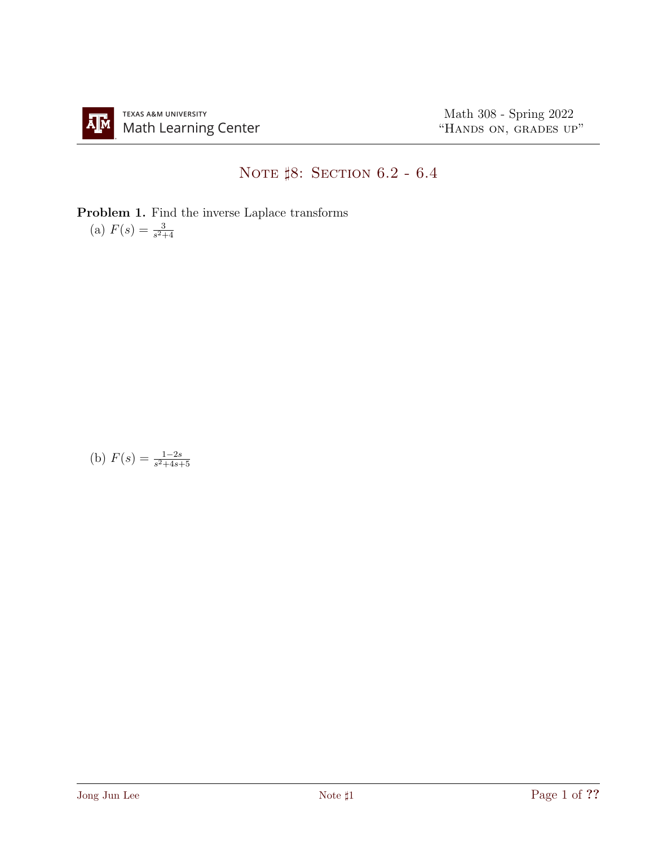## NOTE  $$8:$  SECTION 6.2 - 6.4

Problem 1. Find the inverse Laplace transforms (a)  $F(s) = \frac{3}{s^2+4}$ 

(b)  $F(s) = \frac{1-2s}{s^2+4s+5}$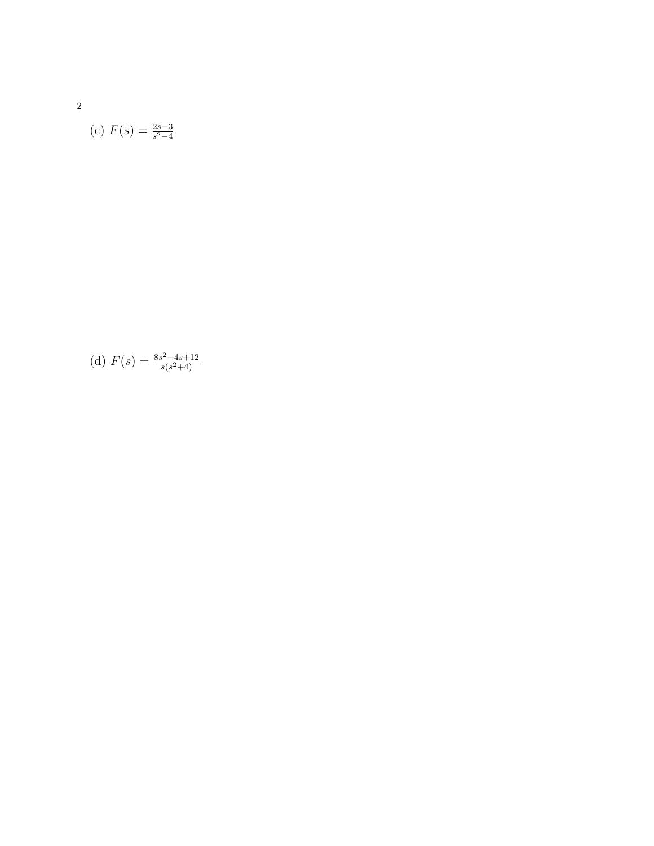2

(c) 
$$
F(s) = \frac{2s-3}{s^2-4}
$$

(d) 
$$
F(s) = \frac{8s^2 - 4s + 12}{s(s^2 + 4)}
$$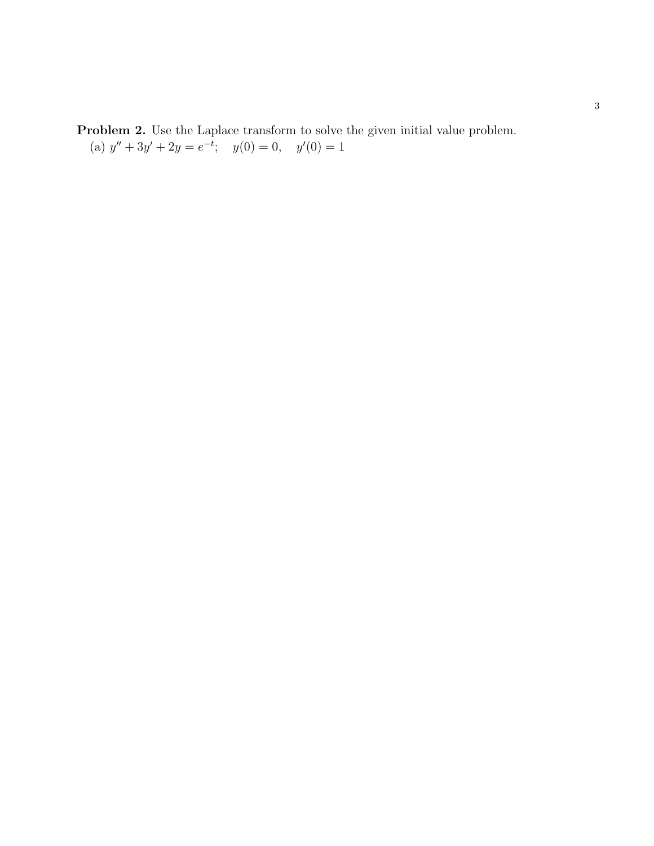Problem 2. Use the Laplace transform to solve the given initial value problem. (a)  $y'' + 3y' + 2y = e^{-t}$ ;  $y(0) = 0$ ,  $y'(0) = 1$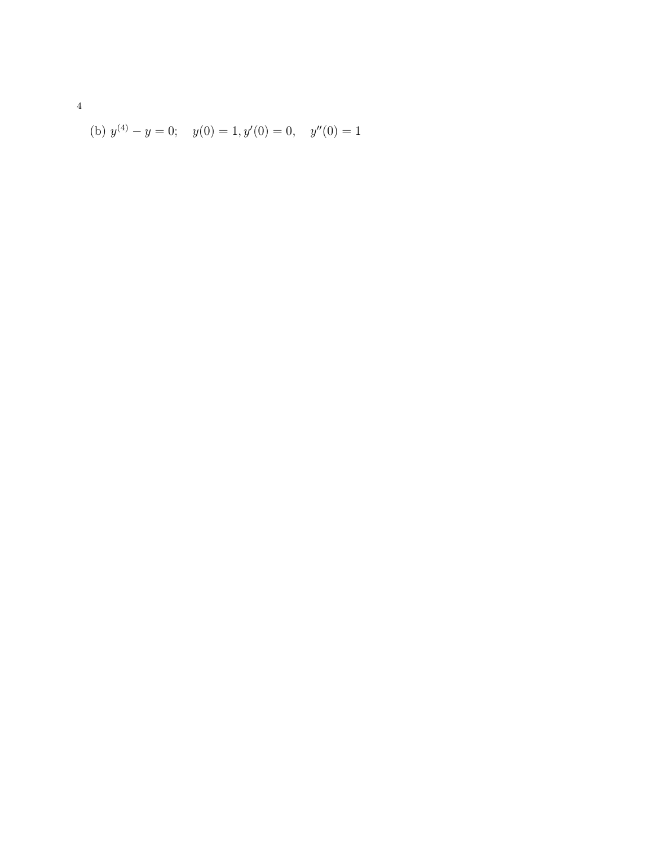(b) 
$$
y^{(4)} - y = 0
$$
;  $y(0) = 1, y'(0) = 0$ ,  $y''(0) = 1$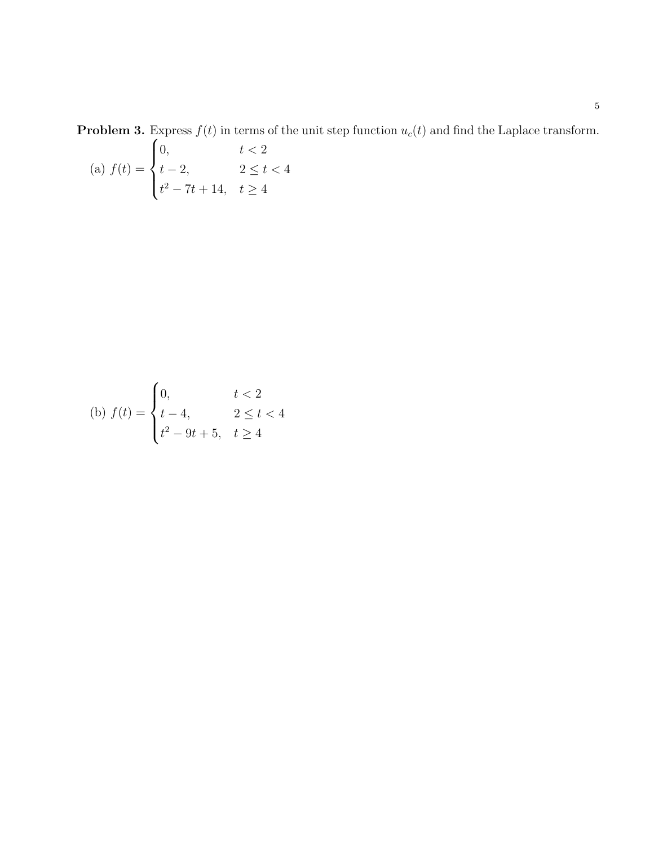**Problem 3.** Express  $f(t)$  in terms of the unit step function  $u_c(t)$  and find the Laplace transform.

(a) 
$$
f(t) = \begin{cases} 0, & t < 2 \\ t - 2, & 2 \le t < 4 \\ t^2 - 7t + 14, & t \ge 4 \end{cases}
$$

(b) 
$$
f(t) = \begin{cases} 0, & t < 2 \\ t - 4, & 2 \le t < 4 \\ t^2 - 9t + 5, & t \ge 4 \end{cases}
$$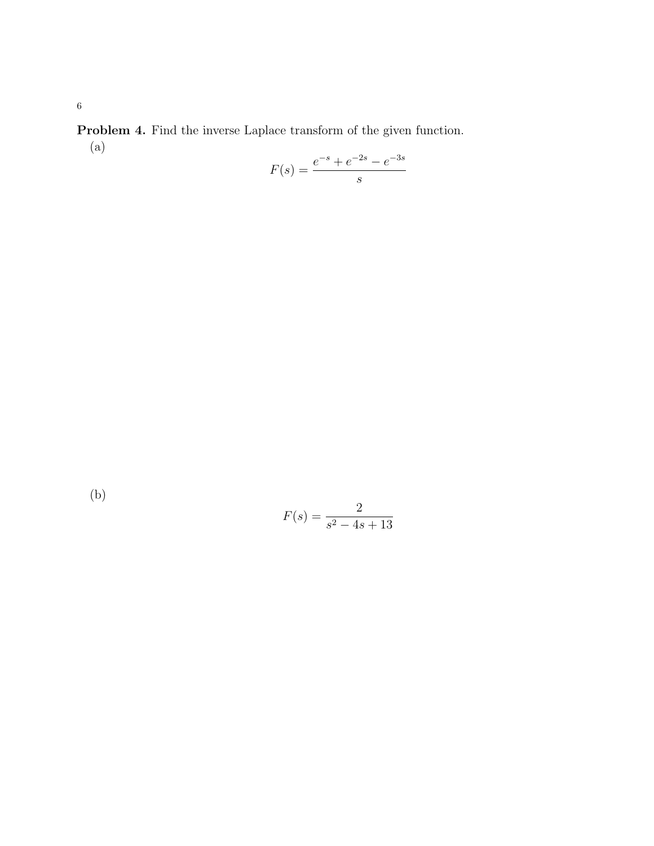Problem 4. Find the inverse Laplace transform of the given function. (a)

$$
F(s) = \frac{e^{-s} + e^{-2s} - e^{-3s}}{s}
$$

(b)

$$
F(s) = \frac{2}{s^2 - 4s + 13}
$$

6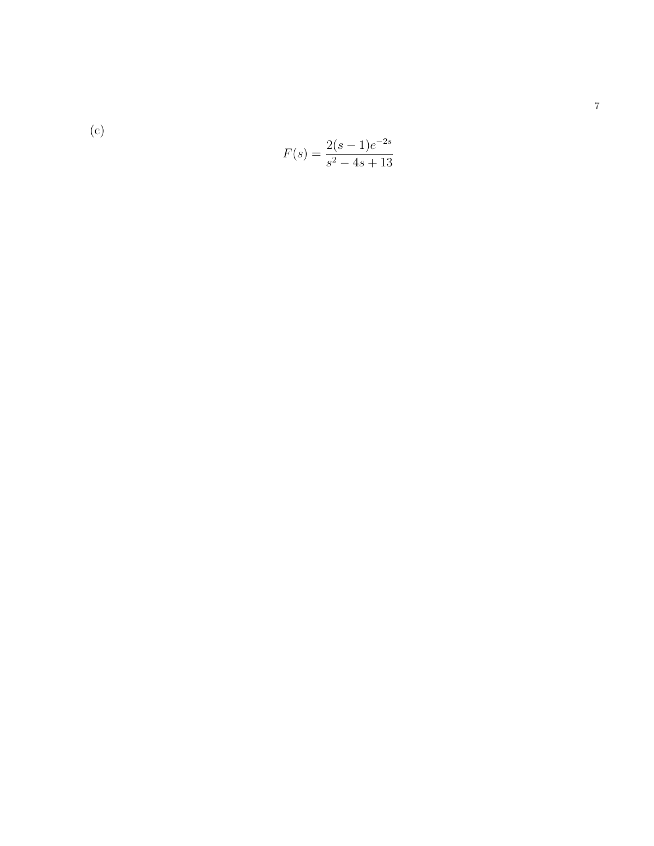(c)  
\n
$$
F(s) = \frac{2(s-1)e^{-2s}}{s^2 - 4s + 13}
$$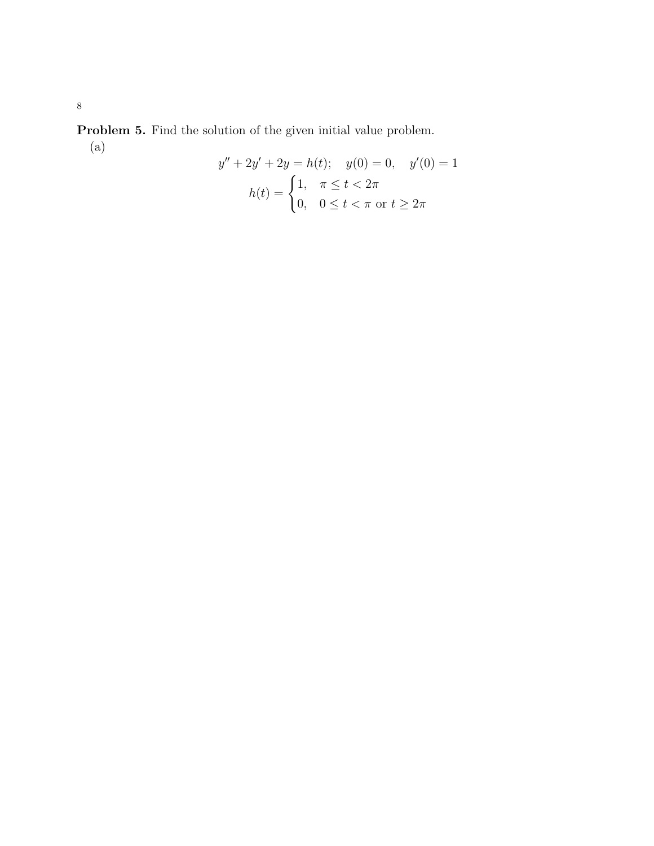Problem 5. Find the solution of the given initial value problem. (a)

$$
y'' + 2y' + 2y = h(t); \quad y(0) = 0, \quad y'(0) = 1
$$

$$
h(t) = \begin{cases} 1, & \pi \le t < 2\pi \\ 0, & 0 \le t < \pi \text{ or } t \ge 2\pi \end{cases}
$$